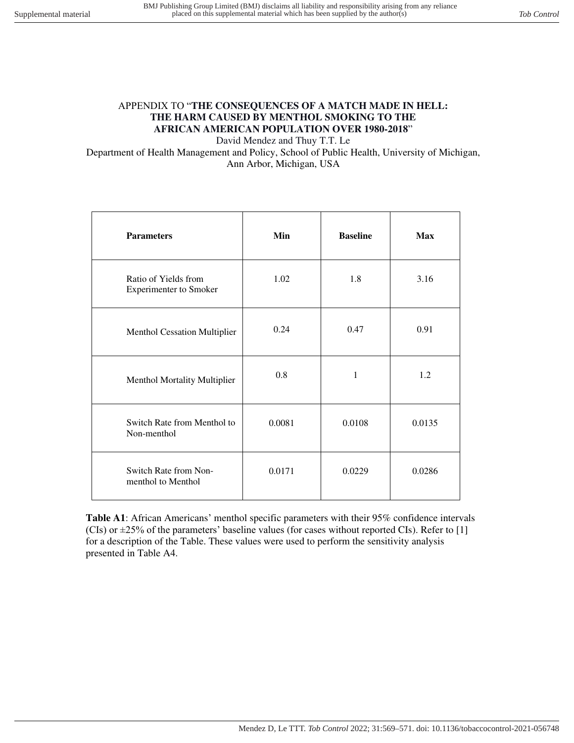## APPENDIX TO "**THE CONSEQUENCES OF A MATCH MADE IN HELL: THE HARM CAUSED BY MENTHOL SMOKING TO THE AFRICAN AMERICAN POPULATION OVER 1980-2018**"

David Mendez and Thuy T.T. Le

Department of Health Management and Policy, School of Public Health, University of Michigan, Ann Arbor, Michigan, USA

| <b>Parameters</b>                                     | Min    | <b>Baseline</b> | <b>Max</b> |
|-------------------------------------------------------|--------|-----------------|------------|
| Ratio of Yields from<br><b>Experimenter to Smoker</b> | 1.02   | 1.8             | 3.16       |
| Menthol Cessation Multiplier                          | 0.24   | 0.47            | 0.91       |
| Menthol Mortality Multiplier                          | 0.8    | 1               | 1.2        |
| Switch Rate from Menthol to<br>Non-menthol            | 0.0081 | 0.0108          | 0.0135     |
| Switch Rate from Non-<br>menthol to Menthol           | 0.0171 | 0.0229          | 0.0286     |

**Table A1**: African Americans' menthol specific parameters with their 95% confidence intervals (CIs) or  $\pm$ 25% of the parameters' baseline values (for cases without reported CIs). Refer to [1] for a description of the Table. These values were used to perform the sensitivity analysis presented in Table A4.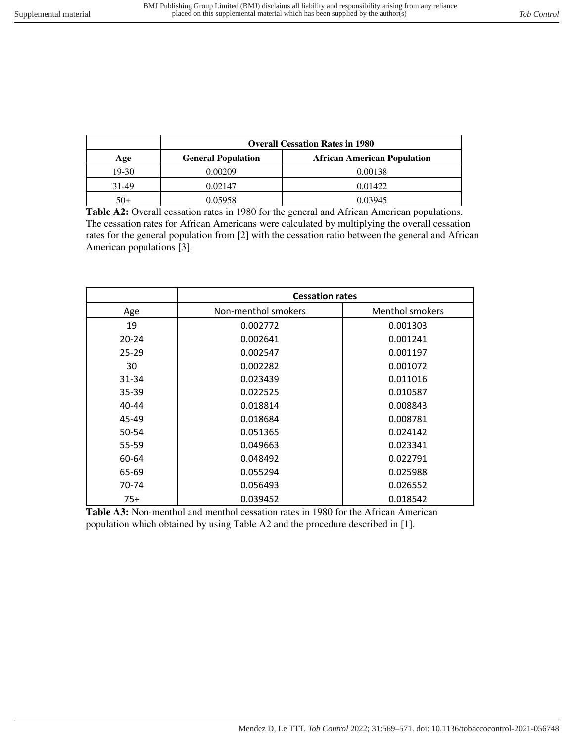|       | <b>Overall Cessation Rates in 1980</b> |                                    |  |
|-------|----------------------------------------|------------------------------------|--|
| Age   | <b>General Population</b>              | <b>African American Population</b> |  |
| 19-30 | 0.00209                                | 0.00138                            |  |
| 31-49 | 0.02147                                | 0.01422                            |  |
| $50+$ | 0.05958                                | 0.03945                            |  |

**Table A2:** Overall cessation rates in 1980 for the general and African American populations. The cessation rates for African Americans were calculated by multiplying the overall cessation rates for the general population from [2] with the cessation ratio between the general and African American populations [3].

|           | <b>Cessation rates</b> |                        |  |
|-----------|------------------------|------------------------|--|
| Age       | Non-menthol smokers    | <b>Menthol smokers</b> |  |
| 19        | 0.002772               | 0.001303               |  |
| $20 - 24$ | 0.002641               | 0.001241               |  |
| $25 - 29$ | 0.002547               | 0.001197               |  |
| 30        | 0.002282               | 0.001072               |  |
| 31-34     | 0.023439               | 0.011016               |  |
| 35-39     | 0.022525               | 0.010587               |  |
| 40-44     | 0.018814               | 0.008843               |  |
| 45-49     | 0.018684               | 0.008781               |  |
| 50-54     | 0.051365               | 0.024142               |  |
| 55-59     | 0.049663               | 0.023341               |  |
| 60-64     | 0.048492               | 0.022791               |  |
| 65-69     | 0.055294               | 0.025988               |  |
| 70-74     | 0.056493               | 0.026552               |  |
| 75+       | 0.039452               | 0.018542               |  |

**Table A3:** Non-menthol and menthol cessation rates in 1980 for the African American population which obtained by using Table A2 and the procedure described in [1].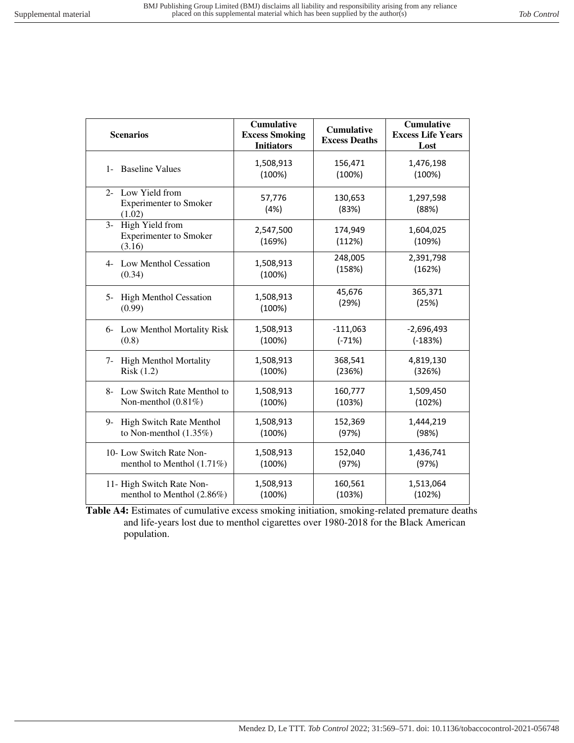| <b>Scenarios</b>                                                   | <b>Cumulative</b><br><b>Excess Smoking</b><br><b>Initiators</b> | <b>Cumulative</b><br><b>Excess Deaths</b> | <b>Cumulative</b><br><b>Excess Life Years</b><br>Lost |
|--------------------------------------------------------------------|-----------------------------------------------------------------|-------------------------------------------|-------------------------------------------------------|
| 1- Baseline Values                                                 | 1,508,913<br>(100%)                                             | 156,471<br>(100%)                         | 1,476,198<br>(100%)                                   |
| 2- Low Yield from<br><b>Experimenter to Smoker</b><br>(1.02)       | 57,776<br>(4% )                                                 | 130,653<br>(83%)                          | 1,297,598<br>(88%)                                    |
| High Yield from<br>$3-$<br><b>Experimenter to Smoker</b><br>(3.16) | 2,547,500<br>(169%)                                             | 174,949<br>(112%)                         | 1,604,025<br>(109%)                                   |
| 4- Low Menthol Cessation<br>(0.34)                                 | 1,508,913<br>(100%)                                             | 248,005<br>(158%)                         | 2,391,798<br>(162%)                                   |
| <b>High Menthol Cessation</b><br>$5-$<br>(0.99)                    | 1,508,913<br>(100%)                                             | 45,676<br>(29%)                           | 365,371<br>(25%)                                      |
| Low Menthol Mortality Risk<br>$6-$<br>(0.8)                        | 1,508,913<br>(100%)                                             | $-111,063$<br>$(-71%)$                    | $-2,696,493$<br>$(-183%)$                             |
| High Menthol Mortality<br>$7-$<br>Risk(1.2)                        | 1,508,913<br>(100%)                                             | 368,541<br>(236%)                         | 4,819,130<br>(326%)                                   |
| Low Switch Rate Menthol to<br>$8-$<br>Non-menthol $(0.81\%)$       | 1,508,913<br>(100%)                                             | 160,777<br>(103%)                         | 1,509,450<br>(102%)                                   |
| High Switch Rate Menthol<br>9-<br>to Non-menthol $(1.35\%)$        | 1,508,913<br>(100%)                                             | 152,369<br>(97%)                          | 1,444,219<br>(98%)                                    |
| 10- Low Switch Rate Non-<br>menthol to Menthol (1.71%)             | 1,508,913<br>(100%)                                             | 152,040<br>(97%)                          | 1,436,741<br>(97%)                                    |
| 11- High Switch Rate Non-<br>menthol to Menthol (2.86%)            | 1,508,913<br>(100%)                                             | 160,561<br>(103%)                         | 1,513,064<br>(102%)                                   |

**Table A4:** Estimates of cumulative excess smoking initiation, smoking-related premature deaths and life-years lost due to menthol cigarettes over 1980-2018 for the Black American population.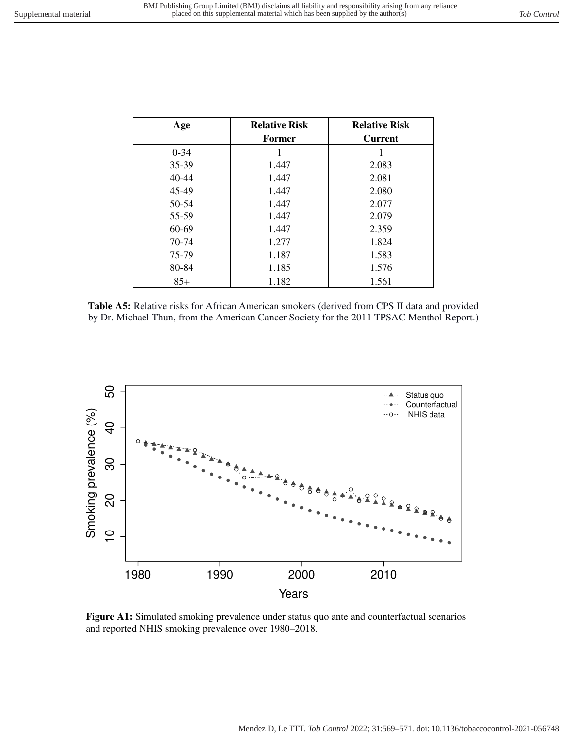| Age      | <b>Relative Risk</b> | <b>Relative Risk</b> |
|----------|----------------------|----------------------|
|          | <b>Former</b>        | <b>Current</b>       |
| $0 - 34$ |                      |                      |
| 35-39    | 1.447                | 2.083                |
| 40-44    | 1.447                | 2.081                |
| 45-49    | 1.447                | 2.080                |
| 50-54    | 1.447                | 2.077                |
| 55-59    | 1.447                | 2.079                |
| 60-69    | 1.447                | 2.359                |
| 70-74    | 1.277                | 1.824                |
| 75-79    | 1.187                | 1.583                |
| 80-84    | 1.185                | 1.576                |
| $85+$    | 1.182                | 1.561                |

**Table A5:** Relative risks for African American smokers (derived from CPS II data and provided by Dr. Michael Thun, from the American Cancer Society for the 2011 TPSAC Menthol Report.)



**Figure A1:** Simulated smoking prevalence under status quo ante and counterfactual scenarios and reported NHIS smoking prevalence over 1980–2018.